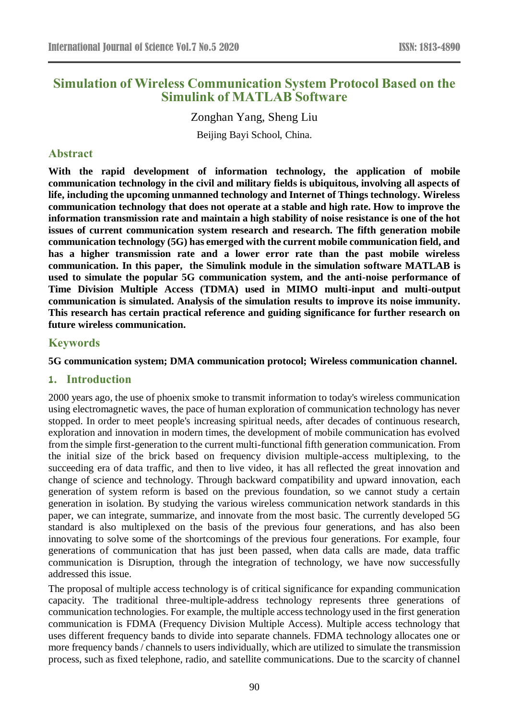# **Simulation of Wireless Communication System Protocol Based on the Simulink of MATLAB Software**

Zonghan Yang, Sheng Liu Beijing Bayi School, China.

## **Abstract**

**With the rapid development of information technology, the application of mobile communication technology in the civil and military fields is ubiquitous, involving all aspects of life, including the upcoming unmanned technology and Internet of Things technology. Wireless communication technology that does not operate at a stable and high rate. How to improve the information transmission rate and maintain a high stability of noise resistance is one of the hot issues of current communication system research and research. The fifth generation mobile communication technology (5G) has emerged with the current mobile communication field, and has a higher transmission rate and a lower error rate than the past mobile wireless communication. In this paper, the Simulink module in the simulation software MATLAB is used to simulate the popular 5G communication system, and the anti-noise performance of Time Division Multiple Access (TDMA) used in MIMO multi-input and multi-output communication is simulated. Analysis of the simulation results to improve its noise immunity. This research has certain practical reference and guiding significance for further research on future wireless communication.**

## **Keywords**

**5G communication system; DMA communication protocol; Wireless communication channel.**

### **1. Introduction**

2000 years ago, the use of phoenix smoke to transmit information to today's wireless communication using electromagnetic waves, the pace of human exploration of communication technology has never stopped. In order to meet people's increasing spiritual needs, after decades of continuous research, exploration and innovation in modern times, the development of mobile communication has evolved from the simple first-generation to the current multi-functional fifth generation communication. From the initial size of the brick based on frequency division multiple-access multiplexing, to the succeeding era of data traffic, and then to live video, it has all reflected the great innovation and change of science and technology. Through backward compatibility and upward innovation, each generation of system reform is based on the previous foundation, so we cannot study a certain generation in isolation. By studying the various wireless communication network standards in this paper, we can integrate, summarize, and innovate from the most basic. The currently developed 5G standard is also multiplexed on the basis of the previous four generations, and has also been innovating to solve some of the shortcomings of the previous four generations. For example, four generations of communication that has just been passed, when data calls are made, data traffic communication is Disruption, through the integration of technology, we have now successfully addressed this issue.

The proposal of multiple access technology is of critical significance for expanding communication capacity. The traditional three-multiple-address technology represents three generations of communication technologies. For example, the multiple access technology used in the first generation communication is FDMA (Frequency Division Multiple Access). Multiple access technology that uses different frequency bands to divide into separate channels. FDMA technology allocates one or more frequency bands / channels to users individually, which are utilized to simulate the transmission process, such as fixed telephone, radio, and satellite communications. Due to the scarcity of channel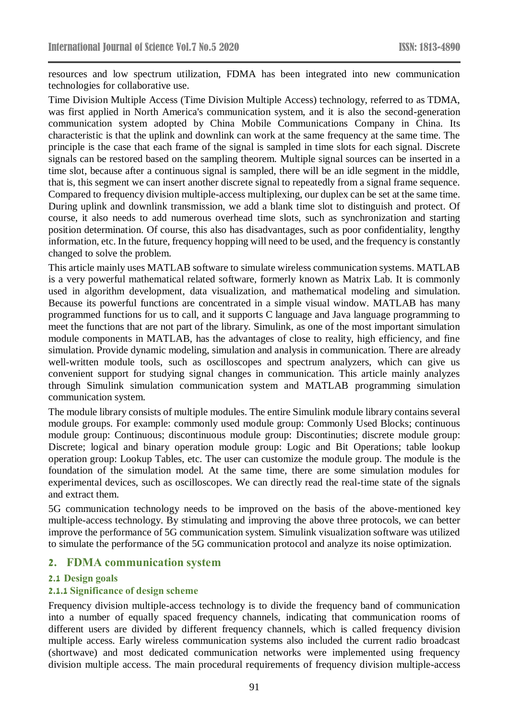resources and low spectrum utilization, FDMA has been integrated into new communication technologies for collaborative use.

Time Division Multiple Access (Time Division Multiple Access) technology, referred to as TDMA, was first applied in North America's communication system, and it is also the second-generation communication system adopted by China Mobile Communications Company in China. Its characteristic is that the uplink and downlink can work at the same frequency at the same time. The principle is the case that each frame of the signal is sampled in time slots for each signal. Discrete signals can be restored based on the sampling theorem. Multiple signal sources can be inserted in a time slot, because after a continuous signal is sampled, there will be an idle segment in the middle, that is, this segment we can insert another discrete signal to repeatedly from a signal frame sequence. Compared to frequency division multiple-access multiplexing, our duplex can be set at the same time. During uplink and downlink transmission, we add a blank time slot to distinguish and protect. Of course, it also needs to add numerous overhead time slots, such as synchronization and starting position determination. Of course, this also has disadvantages, such as poor confidentiality, lengthy information, etc. In the future, frequency hopping will need to be used, and the frequency is constantly changed to solve the problem.

This article mainly uses MATLAB software to simulate wireless communication systems. MATLAB is a very powerful mathematical related software, formerly known as Matrix Lab. It is commonly used in algorithm development, data visualization, and mathematical modeling and simulation. Because its powerful functions are concentrated in a simple visual window. MATLAB has many programmed functions for us to call, and it supports C language and Java language programming to meet the functions that are not part of the library. Simulink, as one of the most important simulation module components in MATLAB, has the advantages of close to reality, high efficiency, and fine simulation. Provide dynamic modeling, simulation and analysis in communication. There are already well-written module tools, such as oscilloscopes and spectrum analyzers, which can give us convenient support for studying signal changes in communication. This article mainly analyzes through Simulink simulation communication system and MATLAB programming simulation communication system.

The module library consists of multiple modules. The entire Simulink module library contains several module groups. For example: commonly used module group: Commonly Used Blocks; continuous module group: Continuous; discontinuous module group: Discontinuties; discrete module group: Discrete; logical and binary operation module group: Logic and Bit Operations; table lookup operation group: Lookup Tables, etc. The user can customize the module group. The module is the foundation of the simulation model. At the same time, there are some simulation modules for experimental devices, such as oscilloscopes. We can directly read the real-time state of the signals and extract them.

5G communication technology needs to be improved on the basis of the above-mentioned key multiple-access technology. By stimulating and improving the above three protocols, we can better improve the performance of 5G communication system. Simulink visualization software was utilized to simulate the performance of the 5G communication protocol and analyze its noise optimization.

## **2. FDMA communication system**

### **2.1 Design goals**

### **2.1.1 Significance of design scheme**

Frequency division multiple-access technology is to divide the frequency band of communication into a number of equally spaced frequency channels, indicating that communication rooms of different users are divided by different frequency channels, which is called frequency division multiple access. Early wireless communication systems also included the current radio broadcast (shortwave) and most dedicated communication networks were implemented using frequency division multiple access. The main procedural requirements of frequency division multiple-access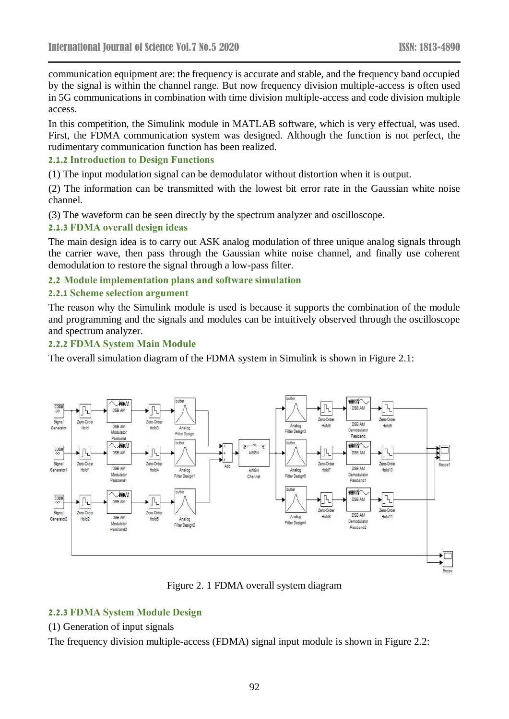communication equipment are: the frequency is accurate and stable, and the frequency band occupied by the signal is within the channel range. But now frequency division multiple-access is often used in 5G communications in combination with time division multiple-access and code division multiple access.

In this competition, the Simulink module in MATLAB software, which is very effectual, was used. First, the FDMA communication system was designed. Although the function is not perfect, the rudimentary communication function has been realized.

#### **2.1.2 Introduction to Design Functions**

(1) The input modulation signal can be demodulator without distortion when it is output.

(2) The information can be transmitted with the lowest bit error rate in the Gaussian white noise channel.

(3) The waveform can be seen directly by the spectrum analyzer and oscilloscope.

#### **2.1.3 FDMA overall design ideas**

The main design idea is to carry out ASK analog modulation of three unique analog signals through the carrier wave, then pass through the Gaussian white noise channel, and finally use coherent demodulation to restore the signal through a low-pass filter.

#### **2.2 Module implementation plans and software simulation**

#### **2.2.1 Scheme selection argument**

The reason why the Simulink module is used is because it supports the combination of the module and programming and the signals and modules can be intuitively observed through the oscilloscope and spectrum analyzer.

#### **2.2.2 FDMA System Main Module**

The overall simulation diagram of the FDMA system in Simulink is shown in Figure 2.1:



Figure 2. 1 FDMA overall system diagram

### **2.2.3 FDMA System Module Design**

### (1) Generation of input signals

The frequency division multiple-access (FDMA) signal input module is shown in Figure 2.2: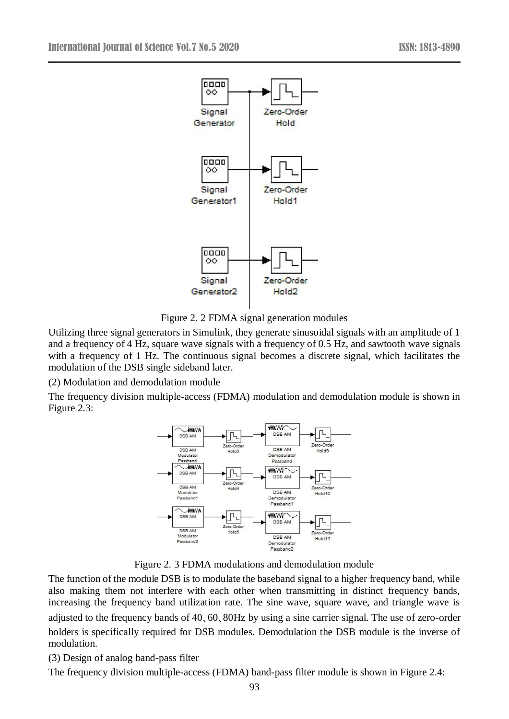

Figure 2. 2 FDMA signal generation modules

Utilizing three signal generators in Simulink, they generate sinusoidal signals with an amplitude of 1 and a frequency of 4 Hz, square wave signals with a frequency of 0.5 Hz, and sawtooth wave signals with a frequency of 1 Hz. The continuous signal becomes a discrete signal, which facilitates the modulation of the DSB single sideband later.

(2) Modulation and demodulation module

The frequency division multiple-access (FDMA) modulation and demodulation module is shown in Figure 2.3:



Figure 2. 3 FDMA modulations and demodulation module

The function of the module DSB is to modulate the baseband signal to a higher frequency band, while also making them not interfere with each other when transmitting in distinct frequency bands, increasing the frequency band utilization rate. The sine wave, square wave, and triangle wave is adjusted to the frequency bands of 40、60、80Hz by using a sine carrier signal. The use of zero-order holders is specifically required for DSB modules. Demodulation the DSB module is the inverse of modulation.

(3) Design of analog band-pass filter

The frequency division multiple-access (FDMA) band-pass filter module is shown in Figure 2.4: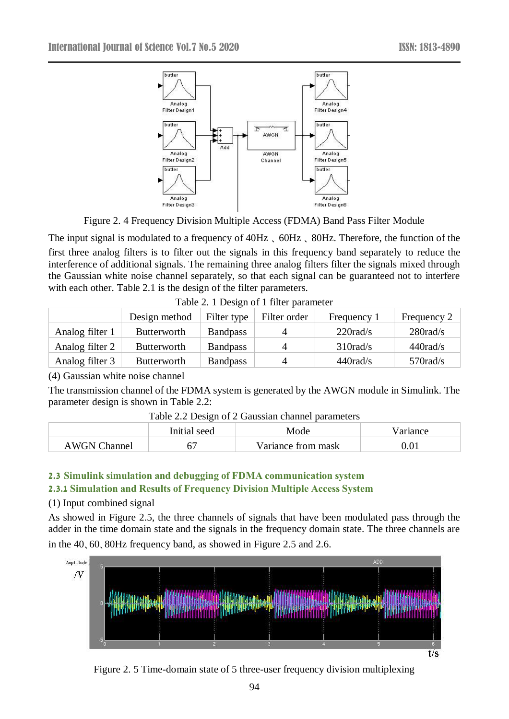

Figure 2. 4 Frequency Division Multiple Access (FDMA) Band Pass Filter Module

The input signal is modulated to a frequency of 40Hz 、 60Hz 、 80Hz. Therefore, the function of the first three analog filters is to filter out the signals in this frequency band separately to reduce the interference of additional signals. The remaining three analog filters filter the signals mixed through the Gaussian white noise channel separately, so that each signal can be guaranteed not to interfere with each other. Table 2.1 is the design of the filter parameters.

|                 | Design method      | Filter type     | Filter order | Frequency 1        | Frequency 2        |
|-----------------|--------------------|-----------------|--------------|--------------------|--------------------|
| Analog filter 1 | <b>Butterworth</b> | <b>Bandpass</b> |              | 220 rad/s          | 280 rad/s          |
| Analog filter 2 | <b>Butterworth</b> | <b>Bandpass</b> |              | $310 \text{rad/s}$ | $440 \text{rad/s}$ |
| Analog filter 3 | <b>Butterworth</b> | <b>Bandpass</b> |              | $440 \text{rad/s}$ | $570 \text{rad/s}$ |

Table 2. 1 Design of 1 filter parameter

(4) Gaussian white noise channel

The transmission channel of the FDMA system is generated by the AWGN module in Simulink. The parameter design is shown in Table 2.2:

|                     | Initial seed | Mode               | /ariance |
|---------------------|--------------|--------------------|----------|
| <b>AWGN Channel</b> |              | Variance from mask |          |

Table 2.2 Design of 2 Gaussian channel parameters

### **2.3 Simulink simulation and debugging of FDMA communication system 2.3.1 Simulation and Results of Frequency Division Multiple Access System**

## (1) Input combined signal

As showed in Figure 2.5, the three channels of signals that have been modulated pass through the adder in the time domain state and the signals in the frequency domain state. The three channels are in the 40、60、80Hz frequency band, as showed in Figure 2.5 and 2.6.



Figure 2. 5 Time-domain state of 5 three-user frequency division multiplexing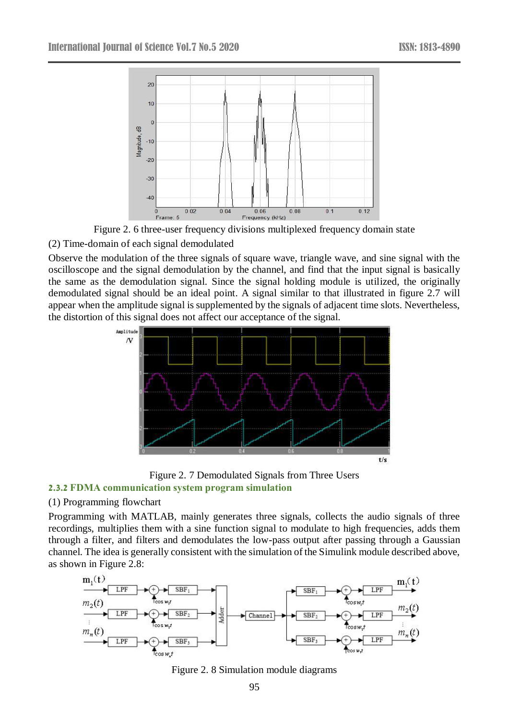

Figure 2. 6 three-user frequency divisions multiplexed frequency domain state

(2) Time-domain of each signal demodulated

Observe the modulation of the three signals of square wave, triangle wave, and sine signal with the oscilloscope and the signal demodulation by the channel, and find that the input signal is basically the same as the demodulation signal. Since the signal holding module is utilized, the originally demodulated signal should be an ideal point. A signal similar to that illustrated in figure 2.7 will appear when the amplitude signal is supplemented by the signals of adjacent time slots. Nevertheless, the distortion of this signal does not affect our acceptance of the signal.



Figure 2. 7 Demodulated Signals from Three Users **2.3.2 FDMA communication system program simulation**

## (1) Programming flowchart

Programming with MATLAB, mainly generates three signals, collects the audio signals of three recordings, multiplies them with a sine function signal to modulate to high frequencies, adds them through a filter, and filters and demodulates the low-pass output after passing through a Gaussian channel. The idea is generally consistent with the simulation of the Simulink module described above, as shown in Figure 2.8:



Figure 2. 8 Simulation module diagrams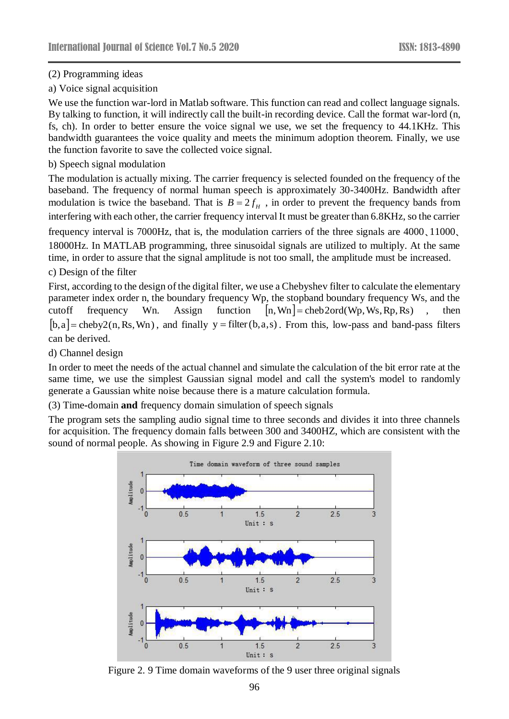### (2) Programming ideas

### a) Voice signal acquisition

We use the function war-lord in Matlab software. This function can read and collect language signals. By talking to function, it will indirectly call the built-in recording device. Call the format war-lord (n, fs, ch). In order to better ensure the voice signal we use, we set the frequency to 44.1KHz. This bandwidth guarantees the voice quality and meets the minimum adoption theorem. Finally, we use the function favorite to save the collected voice signal.

### b) Speech signal modulation

The modulation is actually mixing. The carrier frequency is selected founded on the frequency of the baseband. The frequency of normal human speech is approximately 30-3400Hz. Bandwidth after modulation is twice the baseband. That is  $B = 2 f_H$ , in order to prevent the frequency bands from interfering with each other, the carrier frequency interval It must be greater than 6.8KHz, so the carrier frequency interval is 7000Hz, that is, the modulation carriers of the three signals are 4000、11000、

18000Hz. In MATLAB programming, three sinusoidal signals are utilized to multiply. At the same time, in order to assure that the signal amplitude is not too small, the amplitude must be increased.

## c) Design of the filter

First, according to the design of the digital filter, we use a Chebyshev filter to calculate the elementary parameter index order n, the boundary frequency Wp, the stopband boundary frequency Ws, and the cutoff frequency Wn. Assign function  $[n, Wn] = \text{cheb2ord}(Wp, Ws, Rp, Rs)$ , then  $[b, a]$  = cheby2(n, Rs, Wn), and finally y = filter(b, a,s). From this, low-pass and band-pass filters can be derived.

d) Channel design

In order to meet the needs of the actual channel and simulate the calculation of the bit error rate at the same time, we use the simplest Gaussian signal model and call the system's model to randomly generate a Gaussian white noise because there is a mature calculation formula.

(3) Time**-**domain **and** frequency domain simulation of speech signals

The program sets the sampling audio signal time to three seconds and divides it into three channels for acquisition. The frequency domain falls between 300 and 3400HZ, which are consistent with the sound of normal people. As showing in Figure 2.9 and Figure 2.10:



Figure 2. 9 Time domain waveforms of the 9 user three original signals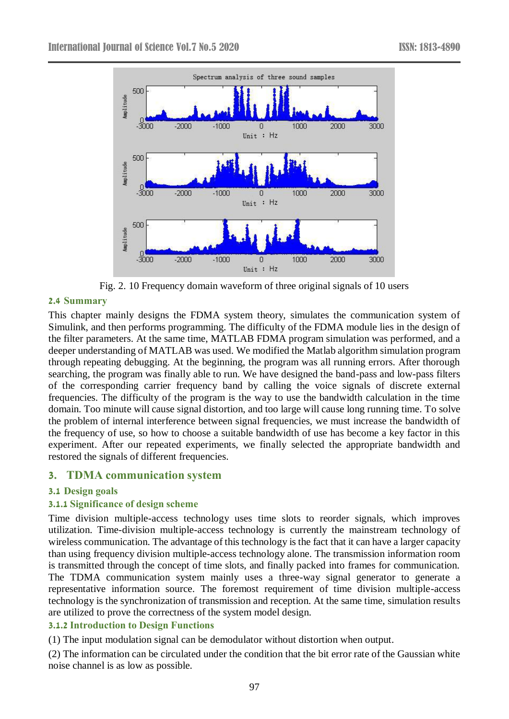

Fig. 2. 10 Frequency domain waveform of three original signals of 10 users

### **2.4 Summary**

This chapter mainly designs the FDMA system theory, simulates the communication system of Simulink, and then performs programming. The difficulty of the FDMA module lies in the design of the filter parameters. At the same time, MATLAB FDMA program simulation was performed, and a deeper understanding of MATLAB was used. We modified the Matlab algorithm simulation program through repeating debugging. At the beginning, the program was all running errors. After thorough searching, the program was finally able to run. We have designed the band-pass and low-pass filters of the corresponding carrier frequency band by calling the voice signals of discrete external frequencies. The difficulty of the program is the way to use the bandwidth calculation in the time domain. Too minute will cause signal distortion, and too large will cause long running time. To solve the problem of internal interference between signal frequencies, we must increase the bandwidth of the frequency of use, so how to choose a suitable bandwidth of use has become a key factor in this experiment. After our repeated experiments, we finally selected the appropriate bandwidth and restored the signals of different frequencies.

# **3. TDMA communication system**

### **3.1 Design goals**

### **3.1.1 Significance of design scheme**

Time division multiple-access technology uses time slots to reorder signals, which improves utilization. Time-division multiple-access technology is currently the mainstream technology of wireless communication. The advantage of this technology is the fact that it can have a larger capacity than using frequency division multiple-access technology alone. The transmission information room is transmitted through the concept of time slots, and finally packed into frames for communication. The TDMA communication system mainly uses a three-way signal generator to generate a representative information source. The foremost requirement of time division multiple-access technology is the synchronization of transmission and reception. At the same time, simulation results are utilized to prove the correctness of the system model design.

### **3.1.2 Introduction to Design Functions**

(1) The input modulation signal can be demodulator without distortion when output.

(2) The information can be circulated under the condition that the bit error rate of the Gaussian white noise channel is as low as possible.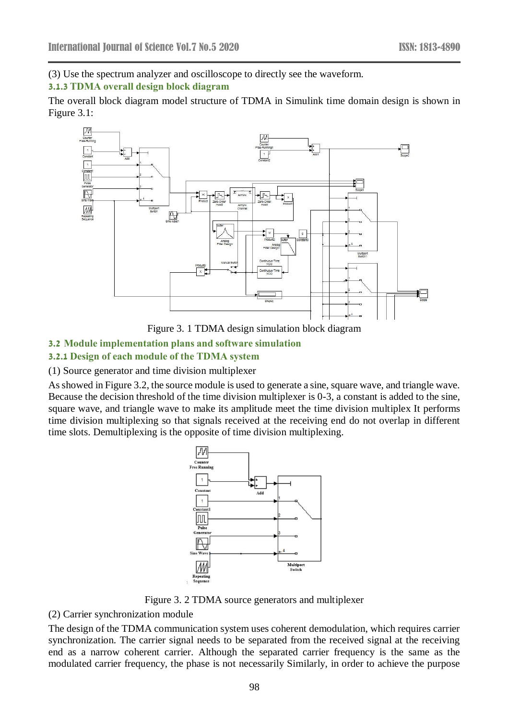## (3) Use the spectrum analyzer and oscilloscope to directly see the waveform. **3.1.3 TDMA overall design block diagram**

The overall block diagram model structure of TDMA in Simulink time domain design is shown in Figure 3.1:



Figure 3. 1 TDMA design simulation block diagram

### **3.2 Module implementation plans and software simulation**

### **3.2.1 Design of each module of the TDMA system**

(1) Source generator and time division multiplexer

As showed in Figure 3.2, the source module is used to generate a sine, square wave, and triangle wave. Because the decision threshold of the time division multiplexer is 0-3, a constant is added to the sine, square wave, and triangle wave to make its amplitude meet the time division multiplex It performs time division multiplexing so that signals received at the receiving end do not overlap in different time slots. Demultiplexing is the opposite of time division multiplexing.



Figure 3. 2 TDMA source generators and multiplexer

#### (2) Carrier synchronization module

The design of the TDMA communication system uses coherent demodulation, which requires carrier synchronization. The carrier signal needs to be separated from the received signal at the receiving end as a narrow coherent carrier. Although the separated carrier frequency is the same as the modulated carrier frequency, the phase is not necessarily Similarly, in order to achieve the purpose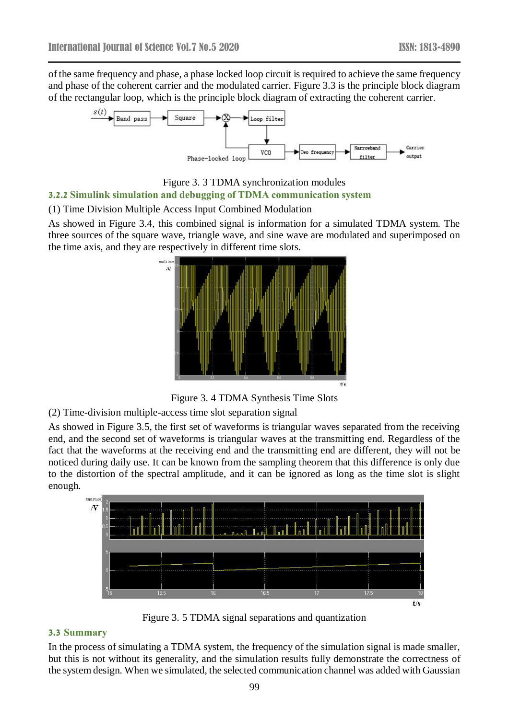of the same frequency and phase, a phase locked loop circuit is required to achieve the same frequency and phase of the coherent carrier and the modulated carrier. Figure 3.3 is the principle block diagram of the rectangular loop, which is the principle block diagram of extracting the coherent carrier.



Figure 3. 3 TDMA synchronization modules **3.2.2 Simulink simulation and debugging of TDMA communication system**

### (1) Time Division Multiple Access Input Combined Modulation

As showed in Figure 3.4, this combined signal is information for a simulated TDMA system. The three sources of the square wave, triangle wave, and sine wave are modulated and superimposed on the time axis, and they are respectively in different time slots.



Figure 3. 4 TDMA Synthesis Time Slots

(2) Time-division multiple-access time slot separation signal

As showed in Figure 3.5, the first set of waveforms is triangular waves separated from the receiving end, and the second set of waveforms is triangular waves at the transmitting end. Regardless of the fact that the waveforms at the receiving end and the transmitting end are different, they will not be noticed during daily use. It can be known from the sampling theorem that this difference is only due to the distortion of the spectral amplitude, and it can be ignored as long as the time slot is slight enough.



Figure 3. 5 TDMA signal separations and quantization

## **3.3 Summary**

In the process of simulating a TDMA system, the frequency of the simulation signal is made smaller, but this is not without its generality, and the simulation results fully demonstrate the correctness of the system design. When we simulated, the selected communication channel was added with Gaussian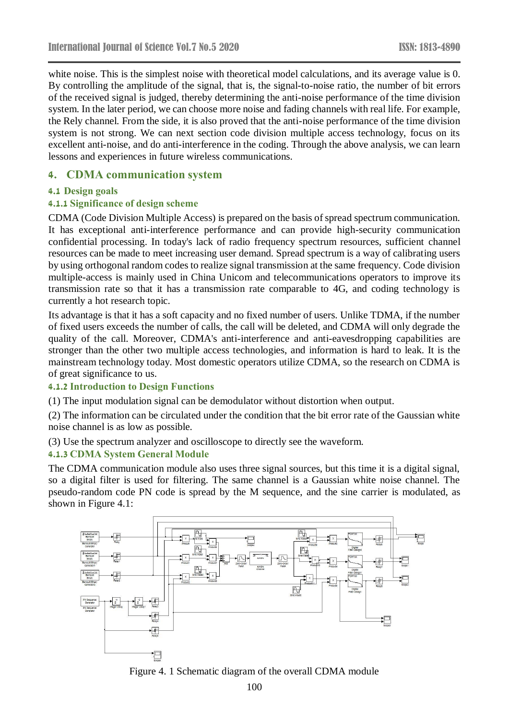white noise. This is the simplest noise with theoretical model calculations, and its average value is 0. By controlling the amplitude of the signal, that is, the signal-to-noise ratio, the number of bit errors of the received signal is judged, thereby determining the anti-noise performance of the time division system. In the later period, we can choose more noise and fading channels with real life. For example, the Rely channel. From the side, it is also proved that the anti-noise performance of the time division system is not strong. We can next section code division multiple access technology, focus on its excellent anti-noise, and do anti-interference in the coding. Through the above analysis, we can learn lessons and experiences in future wireless communications.

## **4. CDMA communication system**

### **4.1 Design goals**

### **4.1.1 Significance of design scheme**

CDMA (Code Division Multiple Access) is prepared on the basis of spread spectrum communication. It has exceptional anti-interference performance and can provide high-security communication confidential processing. In today's lack of radio frequency spectrum resources, sufficient channel resources can be made to meet increasing user demand. Spread spectrum is a way of calibrating users by using orthogonal random codes to realize signal transmission at the same frequency. Code division multiple-access is mainly used in China Unicom and telecommunications operators to improve its transmission rate so that it has a transmission rate comparable to 4G, and coding technology is currently a hot research topic.

Its advantage is that it has a soft capacity and no fixed number of users. Unlike TDMA, if the number of fixed users exceeds the number of calls, the call will be deleted, and CDMA will only degrade the quality of the call. Moreover, CDMA's anti-interference and anti-eavesdropping capabilities are stronger than the other two multiple access technologies, and information is hard to leak. It is the mainstream technology today. Most domestic operators utilize CDMA, so the research on CDMA is of great significance to us.

#### **4.1.2 Introduction to Design Functions**

(1) The input modulation signal can be demodulator without distortion when output.

(2) The information can be circulated under the condition that the bit error rate of the Gaussian white noise channel is as low as possible.

(3) Use the spectrum analyzer and oscilloscope to directly see the waveform.

### **4.1.3 CDMA System General Module**

The CDMA communication module also uses three signal sources, but this time it is a digital signal, so a digital filter is used for filtering. The same channel is a Gaussian white noise channel. The pseudo-random code PN code is spread by the M sequence, and the sine carrier is modulated, as shown in Figure 4.1:



Figure 4. 1 Schematic diagram of the overall CDMA module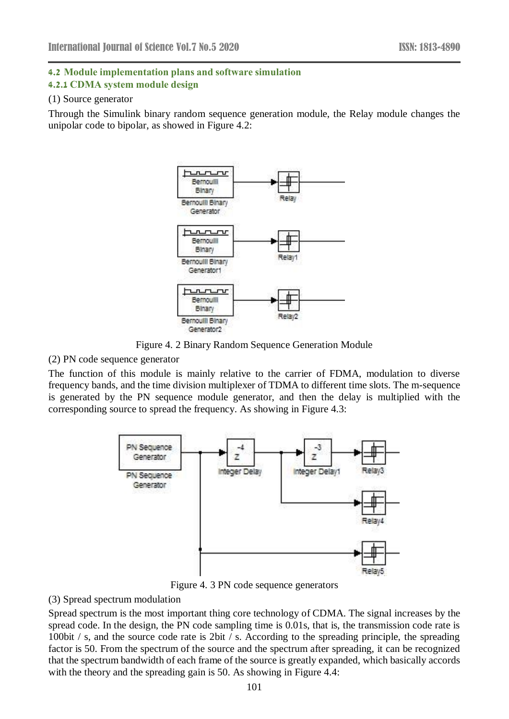### **4.2 Module implementation plans and software simulation**

#### **4.2.1 CDMA system module design**

### (1) Source generator

Through the Simulink binary random sequence generation module, the Relay module changes the unipolar code to bipolar, as showed in Figure 4.2:



Figure 4. 2 Binary Random Sequence Generation Module

#### (2) PN code sequence generator

The function of this module is mainly relative to the carrier of FDMA, modulation to diverse frequency bands, and the time division multiplexer of TDMA to different time slots. The m-sequence is generated by the PN sequence module generator, and then the delay is multiplied with the corresponding source to spread the frequency. As showing in Figure 4.3:



Figure 4. 3 PN code sequence generators

### (3) Spread spectrum modulation

Spread spectrum is the most important thing core technology of CDMA. The signal increases by the spread code. In the design, the PN code sampling time is 0.01s, that is, the transmission code rate is 100bit / s, and the source code rate is 2bit / s. According to the spreading principle, the spreading factor is 50. From the spectrum of the source and the spectrum after spreading, it can be recognized that the spectrum bandwidth of each frame of the source is greatly expanded, which basically accords with the theory and the spreading gain is 50. As showing in Figure 4.4: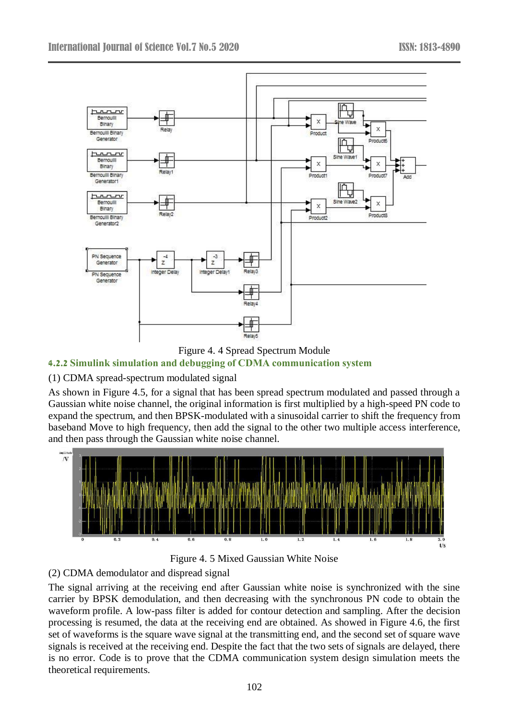



### **4.2.2 Simulink simulation and debugging of CDMA communication system**

## (1) CDMA spread-spectrum modulated signal

As shown in Figure 4.5, for a signal that has been spread spectrum modulated and passed through a Gaussian white noise channel, the original information is first multiplied by a high-speed PN code to expand the spectrum, and then BPSK-modulated with a sinusoidal carrier to shift the frequency from baseband Move to high frequency, then add the signal to the other two multiple access interference, and then pass through the Gaussian white noise channel.





### (2) CDMA demodulator and dispread signal

The signal arriving at the receiving end after Gaussian white noise is synchronized with the sine carrier by BPSK demodulation, and then decreasing with the synchronous PN code to obtain the waveform profile. A low-pass filter is added for contour detection and sampling. After the decision processing is resumed, the data at the receiving end are obtained. As showed in Figure 4.6, the first set of waveforms is the square wave signal at the transmitting end, and the second set of square wave signals is received at the receiving end. Despite the fact that the two sets of signals are delayed, there is no error. Code is to prove that the CDMA communication system design simulation meets the theoretical requirements.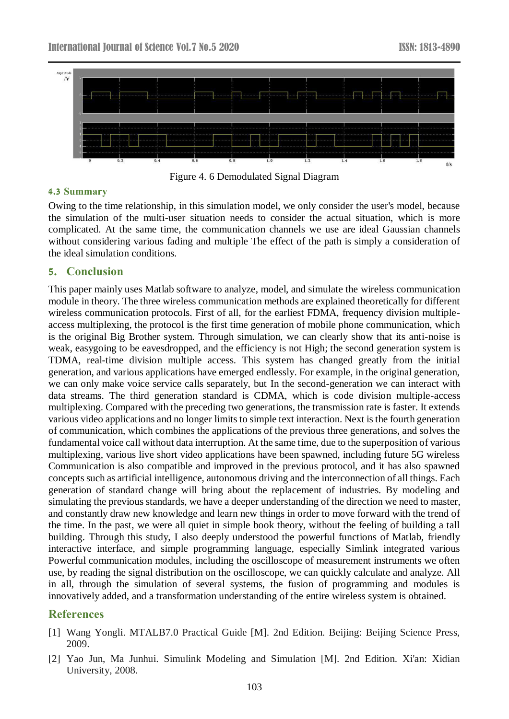

Figure 4. 6 Demodulated Signal Diagram

#### **4.3 Summary**

Owing to the time relationship, in this simulation model, we only consider the user's model, because the simulation of the multi-user situation needs to consider the actual situation, which is more complicated. At the same time, the communication channels we use are ideal Gaussian channels without considering various fading and multiple The effect of the path is simply a consideration of the ideal simulation conditions.

### **5. Conclusion**

This paper mainly uses Matlab software to analyze, model, and simulate the wireless communication module in theory. The three wireless communication methods are explained theoretically for different wireless communication protocols. First of all, for the earliest FDMA, frequency division multipleaccess multiplexing, the protocol is the first time generation of mobile phone communication, which is the original Big Brother system. Through simulation, we can clearly show that its anti-noise is weak, easygoing to be eavesdropped, and the efficiency is not High; the second generation system is TDMA, real-time division multiple access. This system has changed greatly from the initial generation, and various applications have emerged endlessly. For example, in the original generation, we can only make voice service calls separately, but In the second-generation we can interact with data streams. The third generation standard is CDMA, which is code division multiple-access multiplexing. Compared with the preceding two generations, the transmission rate is faster. It extends various video applications and no longer limits to simple text interaction. Next is the fourth generation of communication, which combines the applications of the previous three generations, and solves the fundamental voice call without data interruption. At the same time, due to the superposition of various multiplexing, various live short video applications have been spawned, including future 5G wireless Communication is also compatible and improved in the previous protocol, and it has also spawned concepts such as artificial intelligence, autonomous driving and the interconnection of all things. Each generation of standard change will bring about the replacement of industries. By modeling and simulating the previous standards, we have a deeper understanding of the direction we need to master, and constantly draw new knowledge and learn new things in order to move forward with the trend of the time. In the past, we were all quiet in simple book theory, without the feeling of building a tall building. Through this study, I also deeply understood the powerful functions of Matlab, friendly interactive interface, and simple programming language, especially Simlink integrated various Powerful communication modules, including the oscilloscope of measurement instruments we often use, by reading the signal distribution on the oscilloscope, we can quickly calculate and analyze. All in all, through the simulation of several systems, the fusion of programming and modules is innovatively added, and a transformation understanding of the entire wireless system is obtained.

## **References**

- [1] Wang Yongli. MTALB7.0 Practical Guide [M]. 2nd Edition. Beijing: Beijing Science Press, 2009.
- [2] Yao Jun, Ma Junhui. Simulink Modeling and Simulation [M]. 2nd Edition. Xi'an: Xidian University, 2008.